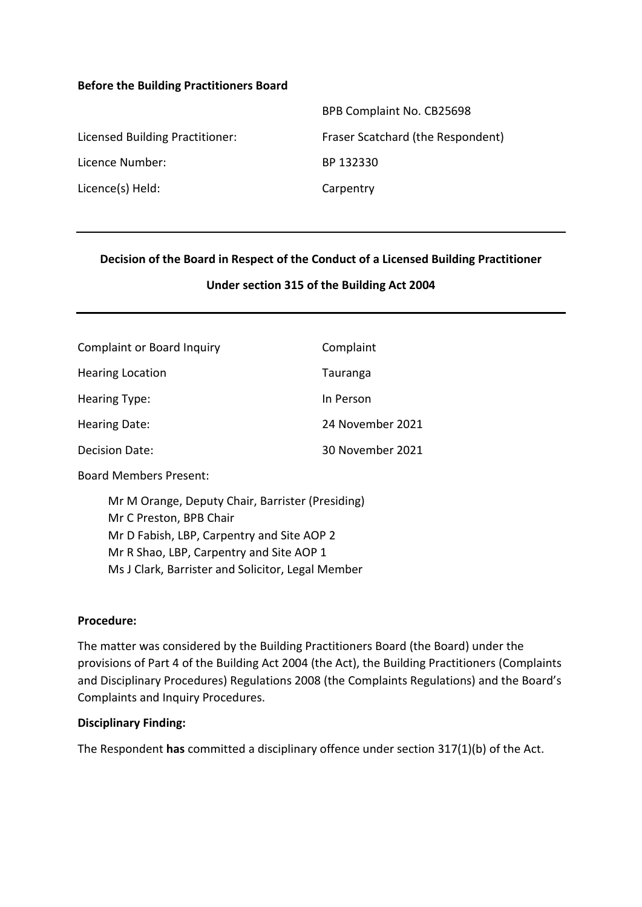#### **Before the Building Practitioners Board**

|                                 | BPB Complaint No. CB25698         |
|---------------------------------|-----------------------------------|
| Licensed Building Practitioner: | Fraser Scatchard (the Respondent) |
| Licence Number:                 | BP 132330                         |
| Licence(s) Held:                | Carpentry                         |

#### **Decision of the Board in Respect of the Conduct of a Licensed Building Practitioner**

#### **Under section 315 of the Building Act 2004**

| <b>Complaint or Board Inquiry</b> | Complaint        |
|-----------------------------------|------------------|
| <b>Hearing Location</b>           | Tauranga         |
| <b>Hearing Type:</b>              | In Person        |
| Hearing Date:                     | 24 November 2021 |
| Decision Date:                    | 30 November 2021 |

Board Members Present:

Mr M Orange, Deputy Chair, Barrister (Presiding) Mr C Preston, BPB Chair Mr D Fabish, LBP, Carpentry and Site AOP 2 Mr R Shao, LBP, Carpentry and Site AOP 1 Ms J Clark, Barrister and Solicitor, Legal Member

#### **Procedure:**

The matter was considered by the Building Practitioners Board (the Board) under the provisions of Part 4 of the Building Act 2004 (the Act), the Building Practitioners (Complaints and Disciplinary Procedures) Regulations 2008 (the Complaints Regulations) and the Board's Complaints and Inquiry Procedures.

### **Disciplinary Finding:**

The Respondent **has** committed a disciplinary offence under section 317(1)(b) of the Act.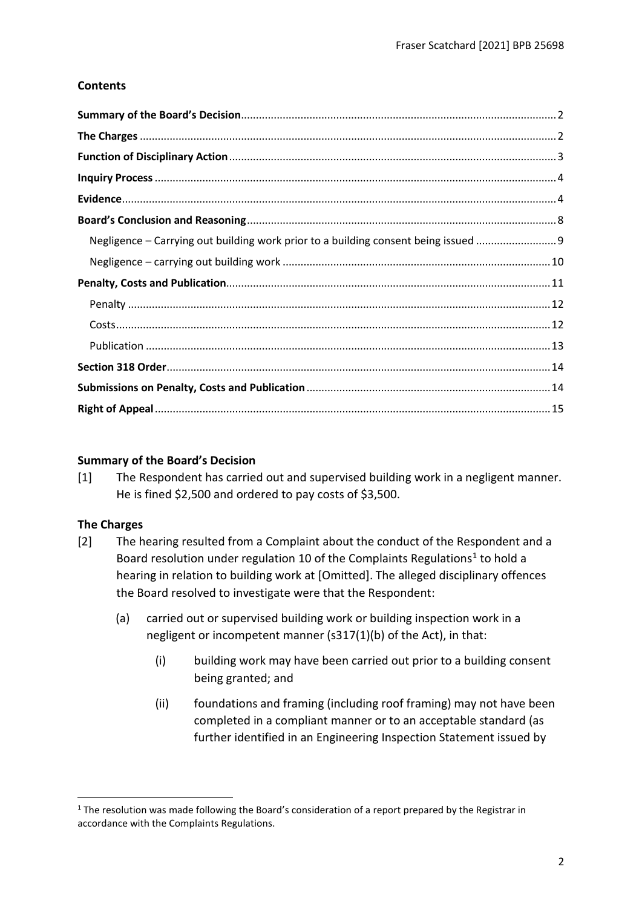## **Contents**

| Negligence - Carrying out building work prior to a building consent being issued 9 |  |
|------------------------------------------------------------------------------------|--|
|                                                                                    |  |
|                                                                                    |  |
|                                                                                    |  |
|                                                                                    |  |
|                                                                                    |  |
|                                                                                    |  |
|                                                                                    |  |
|                                                                                    |  |

### <span id="page-1-0"></span>**Summary of the Board's Decision**

[1] The Respondent has carried out and supervised building work in a negligent manner. He is fined \$2,500 and ordered to pay costs of \$3,500.

### <span id="page-1-1"></span>**The Charges**

- [2] The hearing resulted from a Complaint about the conduct of the Respondent and a Board resolution under regulation 10 of the Complaints Regulations<sup>1</sup> to hold a hearing in relation to building work at [Omitted]. The alleged disciplinary offences the Board resolved to investigate were that the Respondent:
	- (a) carried out or supervised building work or building inspection work in a negligent or incompetent manner (s317(1)(b) of the Act), in that:
		- (i) building work may have been carried out prior to a building consent being granted; and
		- (ii) foundations and framing (including roof framing) may not have been completed in a compliant manner or to an acceptable standard (as further identified in an Engineering Inspection Statement issued by

<span id="page-1-2"></span><sup>&</sup>lt;sup>1</sup> The resolution was made following the Board's consideration of a report prepared by the Registrar in accordance with the Complaints Regulations.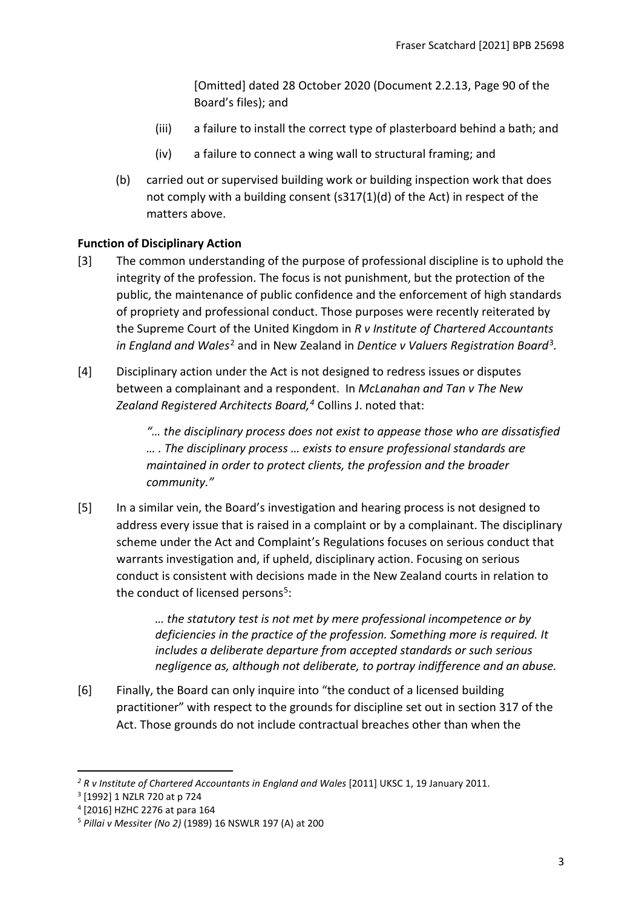[Omitted] dated 28 October 2020 (Document 2.2.13, Page 90 of the Board's files); and

- (iii) a failure to install the correct type of plasterboard behind a bath; and
- (iv) a failure to connect a wing wall to structural framing; and
- (b) carried out or supervised building work or building inspection work that does not comply with a building consent (s317(1)(d) of the Act) in respect of the matters above.

# <span id="page-2-0"></span>**Function of Disciplinary Action**

- [3] The common understanding of the purpose of professional discipline is to uphold the integrity of the profession. The focus is not punishment, but the protection of the public, the maintenance of public confidence and the enforcement of high standards of propriety and professional conduct. Those purposes were recently reiterated by the Supreme Court of the United Kingdom in *R v Institute of Chartered Accountants in England and Wales*[2](#page-2-1) and in New Zealand in *Dentice v Valuers Registration Board*[3](#page-2-2)*.*
- [4] Disciplinary action under the Act is not designed to redress issues or disputes between a complainant and a respondent. In *McLanahan and Tan v The New Zealand Registered Architects Board, [4](#page-2-3)* Collins J. noted that:

*"… the disciplinary process does not exist to appease those who are dissatisfied … . The disciplinary process … exists to ensure professional standards are maintained in order to protect clients, the profession and the broader community."*

[5] In a similar vein, the Board's investigation and hearing process is not designed to address every issue that is raised in a complaint or by a complainant. The disciplinary scheme under the Act and Complaint's Regulations focuses on serious conduct that warrants investigation and, if upheld, disciplinary action. Focusing on serious conduct is consistent with decisions made in the New Zealand courts in relation to the conduct of licensed persons $5$ :

> *… the statutory test is not met by mere professional incompetence or by deficiencies in the practice of the profession. Something more is required. It includes a deliberate departure from accepted standards or such serious negligence as, although not deliberate, to portray indifference and an abuse.*

[6] Finally, the Board can only inquire into "the conduct of a licensed building practitioner" with respect to the grounds for discipline set out in section 317 of the Act. Those grounds do not include contractual breaches other than when the

<span id="page-2-1"></span><sup>&</sup>lt;sup>2</sup> R v Institute of Chartered Accountants in England and Wales [2011] UKSC 1, 19 January 2011.

<span id="page-2-2"></span><sup>3</sup> [1992] 1 NZLR 720 at p 724

<span id="page-2-3"></span><sup>4</sup> [2016] HZHC 2276 at para 164

<span id="page-2-4"></span><sup>5</sup> *Pillai v Messiter (No 2)* (1989) 16 NSWLR 197 (A) at 200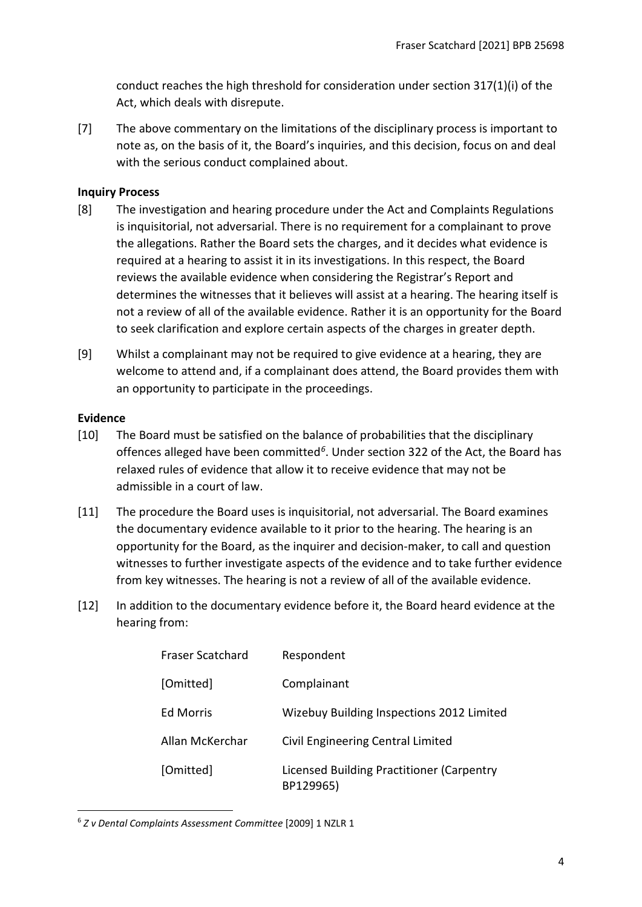conduct reaches the high threshold for consideration under section 317(1)(i) of the Act, which deals with disrepute.

[7] The above commentary on the limitations of the disciplinary process is important to note as, on the basis of it, the Board's inquiries, and this decision, focus on and deal with the serious conduct complained about.

## <span id="page-3-0"></span>**Inquiry Process**

- [8] The investigation and hearing procedure under the Act and Complaints Regulations is inquisitorial, not adversarial. There is no requirement for a complainant to prove the allegations. Rather the Board sets the charges, and it decides what evidence is required at a hearing to assist it in its investigations. In this respect, the Board reviews the available evidence when considering the Registrar's Report and determines the witnesses that it believes will assist at a hearing. The hearing itself is not a review of all of the available evidence. Rather it is an opportunity for the Board to seek clarification and explore certain aspects of the charges in greater depth.
- [9] Whilst a complainant may not be required to give evidence at a hearing, they are welcome to attend and, if a complainant does attend, the Board provides them with an opportunity to participate in the proceedings.

## <span id="page-3-1"></span>**Evidence**

- [10] The Board must be satisfied on the balance of probabilities that the disciplinary offences alleged have been committed*[6](#page-3-2)*. Under section 322 of the Act, the Board has relaxed rules of evidence that allow it to receive evidence that may not be admissible in a court of law.
- [11] The procedure the Board uses is inquisitorial, not adversarial. The Board examines the documentary evidence available to it prior to the hearing. The hearing is an opportunity for the Board, as the inquirer and decision-maker, to call and question witnesses to further investigate aspects of the evidence and to take further evidence from key witnesses. The hearing is not a review of all of the available evidence.
- [12] In addition to the documentary evidence before it, the Board heard evidence at the hearing from:

| <b>Fraser Scatchard</b> | Respondent                                             |
|-------------------------|--------------------------------------------------------|
| [Omitted]               | Complainant                                            |
| <b>Ed Morris</b>        | Wizebuy Building Inspections 2012 Limited              |
| Allan McKerchar         | Civil Engineering Central Limited                      |
| [Omitted]               | Licensed Building Practitioner (Carpentry<br>BP129965) |

<span id="page-3-2"></span><sup>6</sup> *Z v Dental Complaints Assessment Committee* [2009] 1 NZLR 1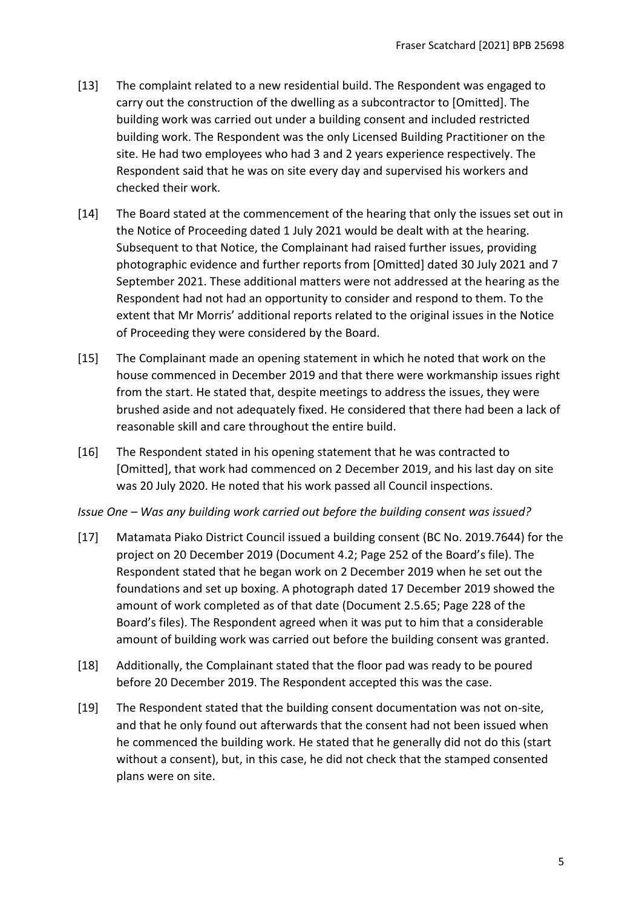- [13] The complaint related to a new residential build. The Respondent was engaged to carry out the construction of the dwelling as a subcontractor to [Omitted]. The building work was carried out under a building consent and included restricted building work. The Respondent was the only Licensed Building Practitioner on the site. He had two employees who had 3 and 2 years experience respectively. The Respondent said that he was on site every day and supervised his workers and checked their work.
- [14] The Board stated at the commencement of the hearing that only the issues set out in the Notice of Proceeding dated 1 July 2021 would be dealt with at the hearing. Subsequent to that Notice, the Complainant had raised further issues, providing photographic evidence and further reports from [Omitted] dated 30 July 2021 and 7 September 2021. These additional matters were not addressed at the hearing as the Respondent had not had an opportunity to consider and respond to them. To the extent that Mr Morris' additional reports related to the original issues in the Notice of Proceeding they were considered by the Board.
- [15] The Complainant made an opening statement in which he noted that work on the house commenced in December 2019 and that there were workmanship issues right from the start. He stated that, despite meetings to address the issues, they were brushed aside and not adequately fixed. He considered that there had been a lack of reasonable skill and care throughout the entire build.
- [16] The Respondent stated in his opening statement that he was contracted to [Omitted], that work had commenced on 2 December 2019, and his last day on site was 20 July 2020. He noted that his work passed all Council inspections.

### *Issue One – Was any building work carried out before the building consent was issued?*

- [17] Matamata Piako District Council issued a building consent (BC No. 2019.7644) for the project on 20 December 2019 (Document 4.2; Page 252 of the Board's file). The Respondent stated that he began work on 2 December 2019 when he set out the foundations and set up boxing. A photograph dated 17 December 2019 showed the amount of work completed as of that date (Document 2.5.65; Page 228 of the Board's files). The Respondent agreed when it was put to him that a considerable amount of building work was carried out before the building consent was granted.
- [18] Additionally, the Complainant stated that the floor pad was ready to be poured before 20 December 2019. The Respondent accepted this was the case.
- [19] The Respondent stated that the building consent documentation was not on-site, and that he only found out afterwards that the consent had not been issued when he commenced the building work. He stated that he generally did not do this (start without a consent), but, in this case, he did not check that the stamped consented plans were on site.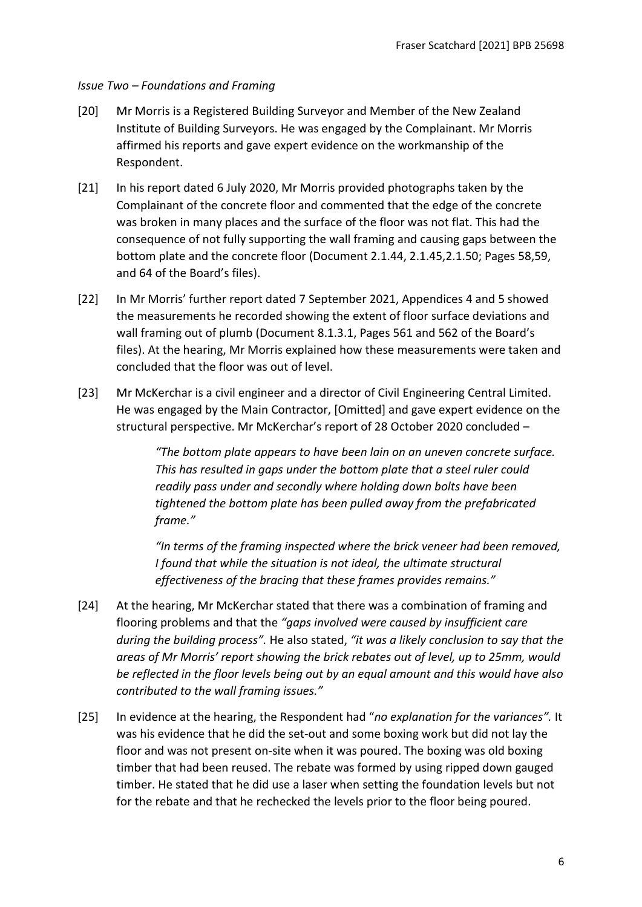## *Issue Two – Foundations and Framing*

- [20] Mr Morris is a Registered Building Surveyor and Member of the New Zealand Institute of Building Surveyors. He was engaged by the Complainant. Mr Morris affirmed his reports and gave expert evidence on the workmanship of the Respondent.
- [21] In his report dated 6 July 2020, Mr Morris provided photographs taken by the Complainant of the concrete floor and commented that the edge of the concrete was broken in many places and the surface of the floor was not flat. This had the consequence of not fully supporting the wall framing and causing gaps between the bottom plate and the concrete floor (Document 2.1.44, 2.1.45,2.1.50; Pages 58,59, and 64 of the Board's files).
- [22] In Mr Morris' further report dated 7 September 2021, Appendices 4 and 5 showed the measurements he recorded showing the extent of floor surface deviations and wall framing out of plumb (Document 8.1.3.1, Pages 561 and 562 of the Board's files). At the hearing, Mr Morris explained how these measurements were taken and concluded that the floor was out of level.
- [23] Mr McKerchar is a civil engineer and a director of Civil Engineering Central Limited. He was engaged by the Main Contractor, [Omitted] and gave expert evidence on the structural perspective. Mr McKerchar's report of 28 October 2020 concluded –

*"The bottom plate appears to have been lain on an uneven concrete surface. This has resulted in gaps under the bottom plate that a steel ruler could readily pass under and secondly where holding down bolts have been tightened the bottom plate has been pulled away from the prefabricated frame."*

*"In terms of the framing inspected where the brick veneer had been removed, I found that while the situation is not ideal, the ultimate structural effectiveness of the bracing that these frames provides remains."* 

- [24] At the hearing, Mr McKerchar stated that there was a combination of framing and flooring problems and that the *"gaps involved were caused by insufficient care during the building process".* He also stated, *"it was a likely conclusion to say that the areas of Mr Morris' report showing the brick rebates out of level, up to 25mm, would be reflected in the floor levels being out by an equal amount and this would have also contributed to the wall framing issues."*
- [25] In evidence at the hearing, the Respondent had "*no explanation for the variances".* It was his evidence that he did the set-out and some boxing work but did not lay the floor and was not present on-site when it was poured. The boxing was old boxing timber that had been reused. The rebate was formed by using ripped down gauged timber. He stated that he did use a laser when setting the foundation levels but not for the rebate and that he rechecked the levels prior to the floor being poured.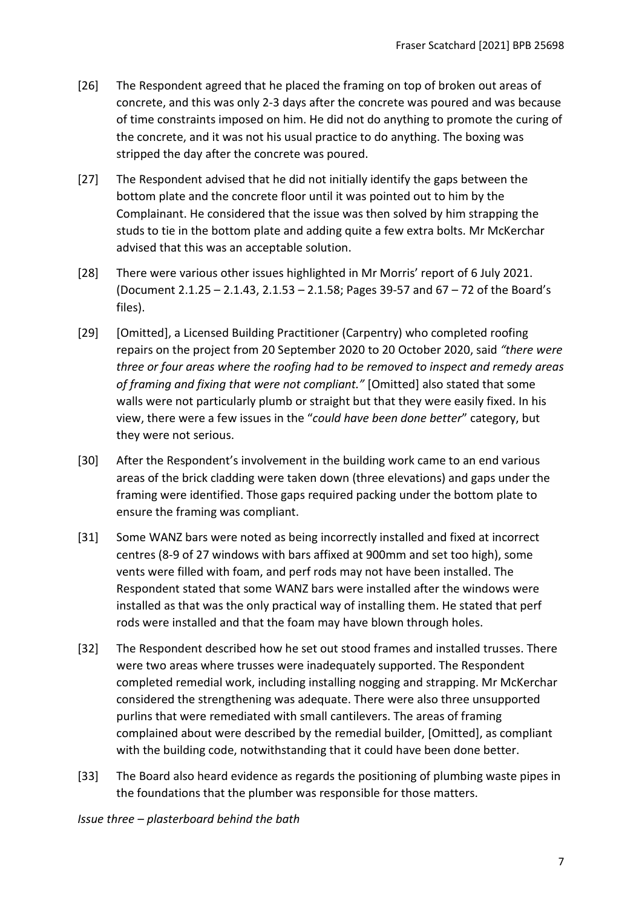- [26] The Respondent agreed that he placed the framing on top of broken out areas of concrete, and this was only 2-3 days after the concrete was poured and was because of time constraints imposed on him. He did not do anything to promote the curing of the concrete, and it was not his usual practice to do anything. The boxing was stripped the day after the concrete was poured.
- [27] The Respondent advised that he did not initially identify the gaps between the bottom plate and the concrete floor until it was pointed out to him by the Complainant. He considered that the issue was then solved by him strapping the studs to tie in the bottom plate and adding quite a few extra bolts. Mr McKerchar advised that this was an acceptable solution.
- [28] There were various other issues highlighted in Mr Morris' report of 6 July 2021. (Document 2.1.25 – 2.1.43, 2.1.53 – 2.1.58; Pages 39-57 and 67 – 72 of the Board's files).
- [29] [Omitted], a Licensed Building Practitioner (Carpentry) who completed roofing repairs on the project from 20 September 2020 to 20 October 2020, said *"there were three or four areas where the roofing had to be removed to inspect and remedy areas of framing and fixing that were not compliant."* [Omitted] also stated that some walls were not particularly plumb or straight but that they were easily fixed. In his view, there were a few issues in the "*could have been done better*" category, but they were not serious.
- [30] After the Respondent's involvement in the building work came to an end various areas of the brick cladding were taken down (three elevations) and gaps under the framing were identified. Those gaps required packing under the bottom plate to ensure the framing was compliant.
- [31] Some WANZ bars were noted as being incorrectly installed and fixed at incorrect centres (8-9 of 27 windows with bars affixed at 900mm and set too high), some vents were filled with foam, and perf rods may not have been installed. The Respondent stated that some WANZ bars were installed after the windows were installed as that was the only practical way of installing them. He stated that perf rods were installed and that the foam may have blown through holes.
- [32] The Respondent described how he set out stood frames and installed trusses. There were two areas where trusses were inadequately supported. The Respondent completed remedial work, including installing nogging and strapping. Mr McKerchar considered the strengthening was adequate. There were also three unsupported purlins that were remediated with small cantilevers. The areas of framing complained about were described by the remedial builder, [Omitted], as compliant with the building code, notwithstanding that it could have been done better.
- [33] The Board also heard evidence as regards the positioning of plumbing waste pipes in the foundations that the plumber was responsible for those matters.

*Issue three – plasterboard behind the bath*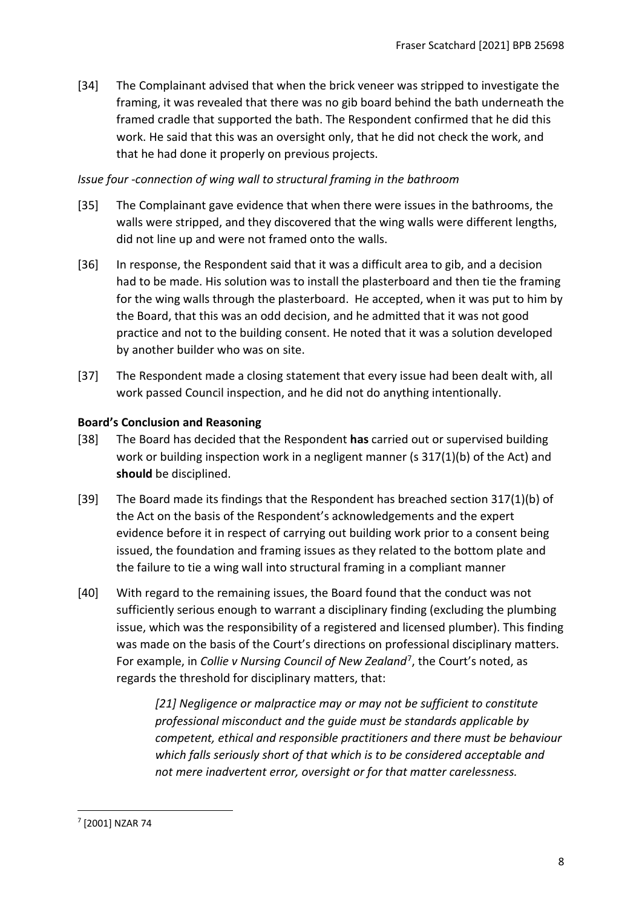[34] The Complainant advised that when the brick veneer was stripped to investigate the framing, it was revealed that there was no gib board behind the bath underneath the framed cradle that supported the bath. The Respondent confirmed that he did this work. He said that this was an oversight only, that he did not check the work, and that he had done it properly on previous projects.

## *Issue four -connection of wing wall to structural framing in the bathroom*

- [35] The Complainant gave evidence that when there were issues in the bathrooms, the walls were stripped, and they discovered that the wing walls were different lengths, did not line up and were not framed onto the walls.
- [36] In response, the Respondent said that it was a difficult area to gib, and a decision had to be made. His solution was to install the plasterboard and then tie the framing for the wing walls through the plasterboard. He accepted, when it was put to him by the Board, that this was an odd decision, and he admitted that it was not good practice and not to the building consent. He noted that it was a solution developed by another builder who was on site.
- [37] The Respondent made a closing statement that every issue had been dealt with, all work passed Council inspection, and he did not do anything intentionally.

## <span id="page-7-0"></span>**Board's Conclusion and Reasoning**

- [38] The Board has decided that the Respondent **has** carried out or supervised building work or building inspection work in a negligent manner (s 317(1)(b) of the Act) and **should** be disciplined.
- [39] The Board made its findings that the Respondent has breached section 317(1)(b) of the Act on the basis of the Respondent's acknowledgements and the expert evidence before it in respect of carrying out building work prior to a consent being issued, the foundation and framing issues as they related to the bottom plate and the failure to tie a wing wall into structural framing in a compliant manner
- [40] With regard to the remaining issues, the Board found that the conduct was not sufficiently serious enough to warrant a disciplinary finding (excluding the plumbing issue, which was the responsibility of a registered and licensed plumber). This finding was made on the basis of the Court's directions on professional disciplinary matters. For example, in *Collie v Nursing Council of New Zealand*[7](#page-7-1), the Court's noted, as regards the threshold for disciplinary matters, that:

*[21] Negligence or malpractice may or may not be sufficient to constitute professional misconduct and the guide must be standards applicable by competent, ethical and responsible practitioners and there must be behaviour which falls seriously short of that which is to be considered acceptable and not mere inadvertent error, oversight or for that matter carelessness.*

<span id="page-7-1"></span><sup>7</sup> [2001] NZAR 74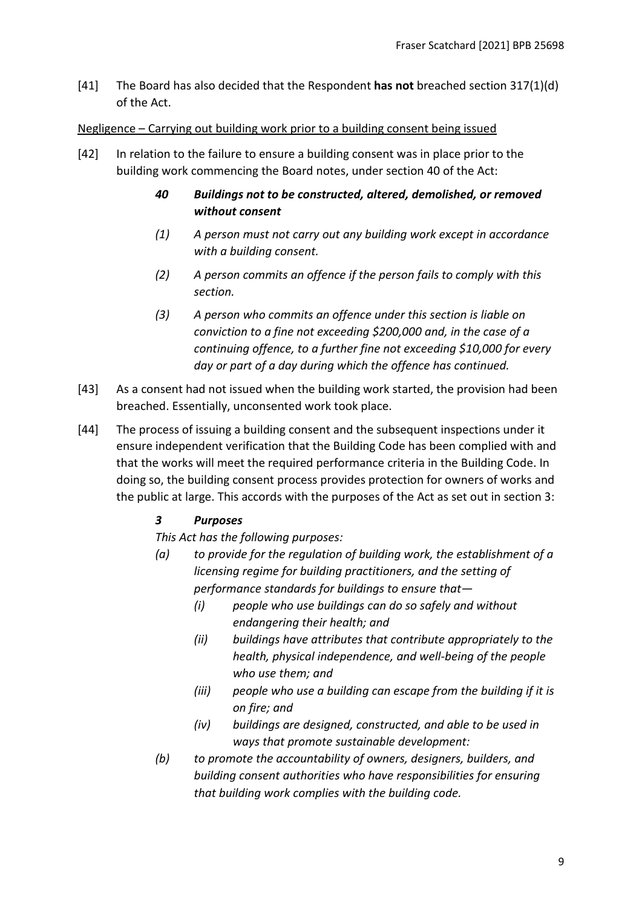[41] The Board has also decided that the Respondent **has not** breached section 317(1)(d) of the Act.

### <span id="page-8-0"></span>Negligence – Carrying out building work prior to a building consent being issued

- [42] In relation to the failure to ensure a building consent was in place prior to the building work commencing the Board notes, under section 40 of the Act:
	- *40 Buildings not to be constructed, altered, demolished, or removed without consent*
	- *(1) A person must not carry out any building work except in accordance with a building consent.*
	- *(2) A person commits an offence if the person fails to comply with this section.*
	- *(3) A person who commits an offence under this section is liable on conviction to a fine not exceeding \$200,000 and, in the case of a continuing offence, to a further fine not exceeding \$10,000 for every day or part of a day during which the offence has continued.*
- [43] As a consent had not issued when the building work started, the provision had been breached. Essentially, unconsented work took place.
- [44] The process of issuing a building consent and the subsequent inspections under it ensure independent verification that the Building Code has been complied with and that the works will meet the required performance criteria in the Building Code. In doing so, the building consent process provides protection for owners of works and the public at large. This accords with the purposes of the Act as set out in section 3:

# *3 Purposes*

*This Act has the following purposes:*

- *(a) to provide for the regulation of building work, the establishment of a licensing regime for building practitioners, and the setting of performance standards for buildings to ensure that—* 
	- *(i) people who use buildings can do so safely and without endangering their health; and*
	- *(ii) buildings have attributes that contribute appropriately to the health, physical independence, and well-being of the people who use them; and*
	- *(iii) people who use a building can escape from the building if it is on fire; and*
	- *(iv) buildings are designed, constructed, and able to be used in ways that promote sustainable development:*
- *(b) to promote the accountability of owners, designers, builders, and building consent authorities who have responsibilities for ensuring that building work complies with the building code.*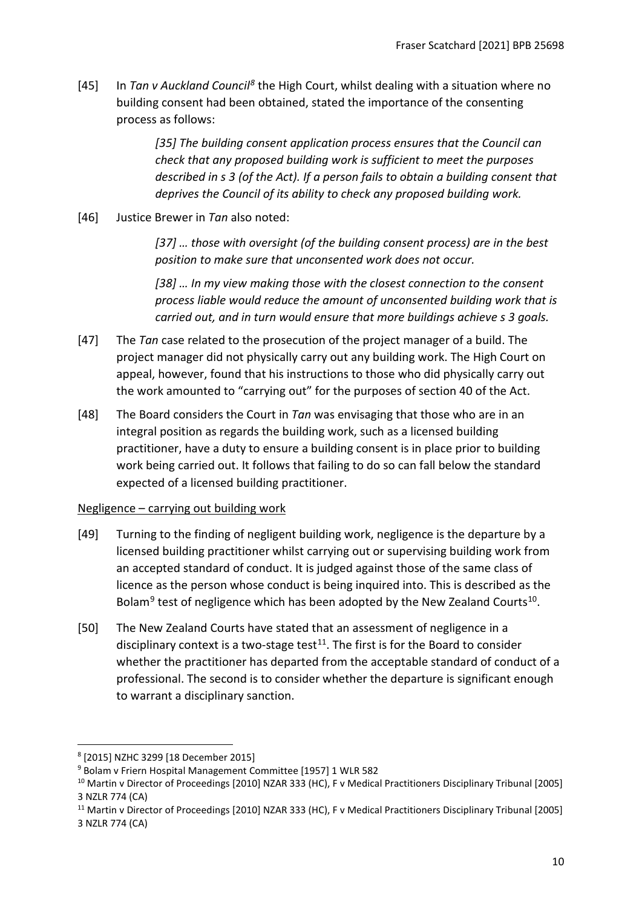[45] In *Tan v Auckland Council[8](#page-9-1)* the High Court, whilst dealing with a situation where no building consent had been obtained, stated the importance of the consenting process as follows:

> *[35] The building consent application process ensures that the Council can check that any proposed building work is sufficient to meet the purposes described in s 3 (of the Act). If a person fails to obtain a building consent that deprives the Council of its ability to check any proposed building work.*

[46] Justice Brewer in *Tan* also noted:

*[37] … those with oversight (of the building consent process) are in the best position to make sure that unconsented work does not occur.* 

*[38] … In my view making those with the closest connection to the consent process liable would reduce the amount of unconsented building work that is carried out, and in turn would ensure that more buildings achieve s 3 goals.*

- [47] The *Tan* case related to the prosecution of the project manager of a build. The project manager did not physically carry out any building work. The High Court on appeal, however, found that his instructions to those who did physically carry out the work amounted to "carrying out" for the purposes of section 40 of the Act.
- [48] The Board considers the Court in *Tan* was envisaging that those who are in an integral position as regards the building work, such as a licensed building practitioner, have a duty to ensure a building consent is in place prior to building work being carried out. It follows that failing to do so can fall below the standard expected of a licensed building practitioner.

### <span id="page-9-0"></span>Negligence – carrying out building work

- [49] Turning to the finding of negligent building work, negligence is the departure by a licensed building practitioner whilst carrying out or supervising building work from an accepted standard of conduct. It is judged against those of the same class of licence as the person whose conduct is being inquired into. This is described as the Bolam<sup>[9](#page-9-2)</sup> test of negligence which has been adopted by the New Zealand Courts<sup>[10](#page-9-3)</sup>.
- [50] The New Zealand Courts have stated that an assessment of negligence in a disciplinary context is a two-stage test $11$ . The first is for the Board to consider whether the practitioner has departed from the acceptable standard of conduct of a professional. The second is to consider whether the departure is significant enough to warrant a disciplinary sanction.

<span id="page-9-1"></span><sup>8</sup> [2015] NZHC 3299 [18 December 2015]

<span id="page-9-2"></span><sup>9</sup> Bolam v Friern Hospital Management Committee [1957] 1 WLR 582

<span id="page-9-3"></span><sup>&</sup>lt;sup>10</sup> Martin v Director of Proceedings [2010] NZAR 333 (HC), F v Medical Practitioners Disciplinary Tribunal [2005] 3 NZLR 774 (CA)

<span id="page-9-4"></span><sup>&</sup>lt;sup>11</sup> Martin v Director of Proceedings [2010] NZAR 333 (HC), F v Medical Practitioners Disciplinary Tribunal [2005] 3 NZLR 774 (CA)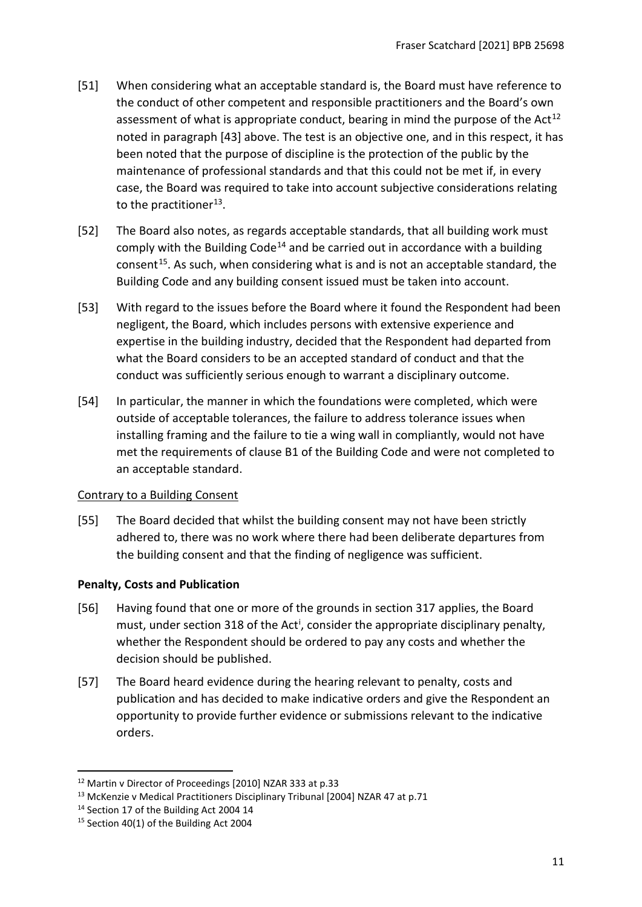- [51] When considering what an acceptable standard is, the Board must have reference to the conduct of other competent and responsible practitioners and the Board's own assessment of what is appropriate conduct, bearing in mind the purpose of the Act<sup>[12](#page-10-1)</sup> noted in paragraph [43] above. The test is an objective one, and in this respect, it has been noted that the purpose of discipline is the protection of the public by the maintenance of professional standards and that this could not be met if, in every case, the Board was required to take into account subjective considerations relating to the practitioner<sup>[13](#page-10-2)</sup>.
- [52] The Board also notes, as regards acceptable standards, that all building work must comply with the Building Code<sup>[14](#page-10-3)</sup> and be carried out in accordance with a building consent<sup>[15](#page-10-4)</sup>. As such, when considering what is and is not an acceptable standard, the Building Code and any building consent issued must be taken into account.
- [53] With regard to the issues before the Board where it found the Respondent had been negligent, the Board, which includes persons with extensive experience and expertise in the building industry, decided that the Respondent had departed from what the Board considers to be an accepted standard of conduct and that the conduct was sufficiently serious enough to warrant a disciplinary outcome.
- [54] In particular, the manner in which the foundations were completed, which were outside of acceptable tolerances, the failure to address tolerance issues when installing framing and the failure to tie a wing wall in compliantly, would not have met the requirements of clause B1 of the Building Code and were not completed to an acceptable standard.

# Contrary to a Building Consent

[55] The Board decided that whilst the building consent may not have been strictly adhered to, there was no work where there had been deliberate departures from the building consent and that the finding of negligence was sufficient.

# <span id="page-10-0"></span>**Penalty, Costs and Publication**

- [56] Having found that one or more of the grounds in section 317 applies, the Board must, under sect[i](#page-14-1)on 318 of the Act<sup>i</sup>, consider the appropriate disciplinary penalty, whether the Respondent should be ordered to pay any costs and whether the decision should be published.
- [57] The Board heard evidence during the hearing relevant to penalty, costs and publication and has decided to make indicative orders and give the Respondent an opportunity to provide further evidence or submissions relevant to the indicative orders.

<span id="page-10-1"></span><sup>&</sup>lt;sup>12</sup> Martin v Director of Proceedings [2010] NZAR 333 at p.33<br><sup>13</sup> McKenzie v Medical Practitioners Disciplinary Tribunal [2004] NZAR 47 at p.71

<span id="page-10-3"></span><span id="page-10-2"></span><sup>&</sup>lt;sup>14</sup> Section 17 of the Building Act 2004 14

<span id="page-10-4"></span><sup>&</sup>lt;sup>15</sup> Section 40(1) of the Building Act 2004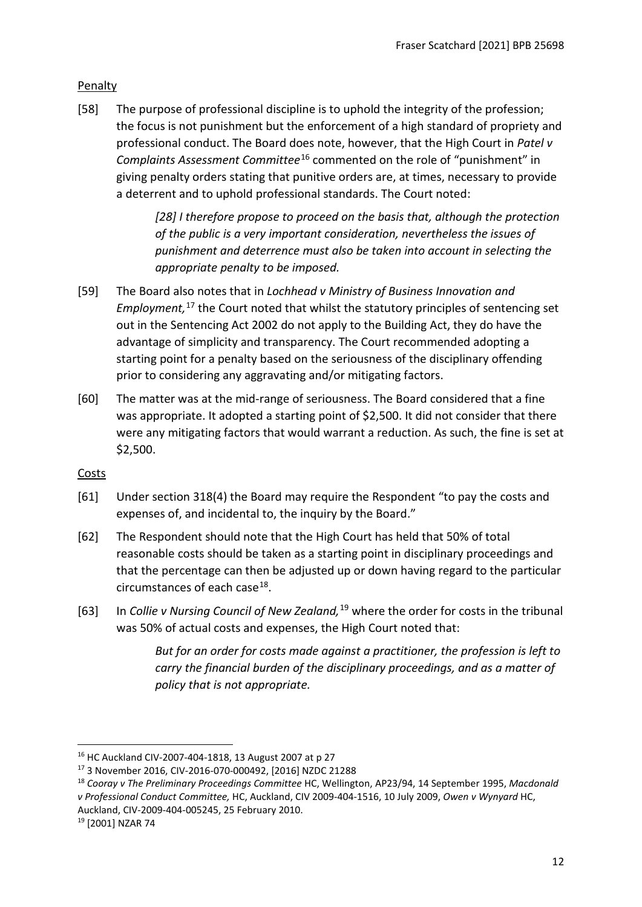# <span id="page-11-0"></span>Penalty

[58] The purpose of professional discipline is to uphold the integrity of the profession; the focus is not punishment but the enforcement of a high standard of propriety and professional conduct. The Board does note, however, that the High Court in *Patel v Complaints Assessment Committee*[16](#page-11-2) commented on the role of "punishment" in giving penalty orders stating that punitive orders are, at times, necessary to provide a deterrent and to uphold professional standards. The Court noted:

> *[28] I therefore propose to proceed on the basis that, although the protection of the public is a very important consideration, nevertheless the issues of punishment and deterrence must also be taken into account in selecting the appropriate penalty to be imposed.*

- [59] The Board also notes that in *Lochhead v Ministry of Business Innovation and Employment,* [17](#page-11-3) the Court noted that whilst the statutory principles of sentencing set out in the Sentencing Act 2002 do not apply to the Building Act, they do have the advantage of simplicity and transparency. The Court recommended adopting a starting point for a penalty based on the seriousness of the disciplinary offending prior to considering any aggravating and/or mitigating factors.
- [60] The matter was at the mid-range of seriousness. The Board considered that a fine was appropriate. It adopted a starting point of \$2,500. It did not consider that there were any mitigating factors that would warrant a reduction. As such, the fine is set at \$2,500.

### <span id="page-11-1"></span>Costs

- [61] Under section 318(4) the Board may require the Respondent "to pay the costs and expenses of, and incidental to, the inquiry by the Board."
- [62] The Respondent should note that the High Court has held that 50% of total reasonable costs should be taken as a starting point in disciplinary proceedings and that the percentage can then be adjusted up or down having regard to the particular circumstances of each case  $18$ .
- [63] In *Collie v Nursing Council of New Zealand,*[19](#page-11-5) where the order for costs in the tribunal was 50% of actual costs and expenses, the High Court noted that:

*But for an order for costs made against a practitioner, the profession is left to carry the financial burden of the disciplinary proceedings, and as a matter of policy that is not appropriate.*

<span id="page-11-2"></span><sup>16</sup> HC Auckland CIV-2007-404-1818, 13 August 2007 at p 27

<span id="page-11-3"></span><sup>17</sup> 3 November 2016, CIV-2016-070-000492, [2016] NZDC 21288

<span id="page-11-4"></span><sup>18</sup> *Cooray v The Preliminary Proceedings Committee* HC, Wellington, AP23/94, 14 September 1995, *Macdonald v Professional Conduct Committee,* HC, Auckland, CIV 2009-404-1516, 10 July 2009, *Owen v Wynyard* HC, Auckland, CIV-2009-404-005245, 25 February 2010. 19 [2001] NZAR 74

<span id="page-11-5"></span>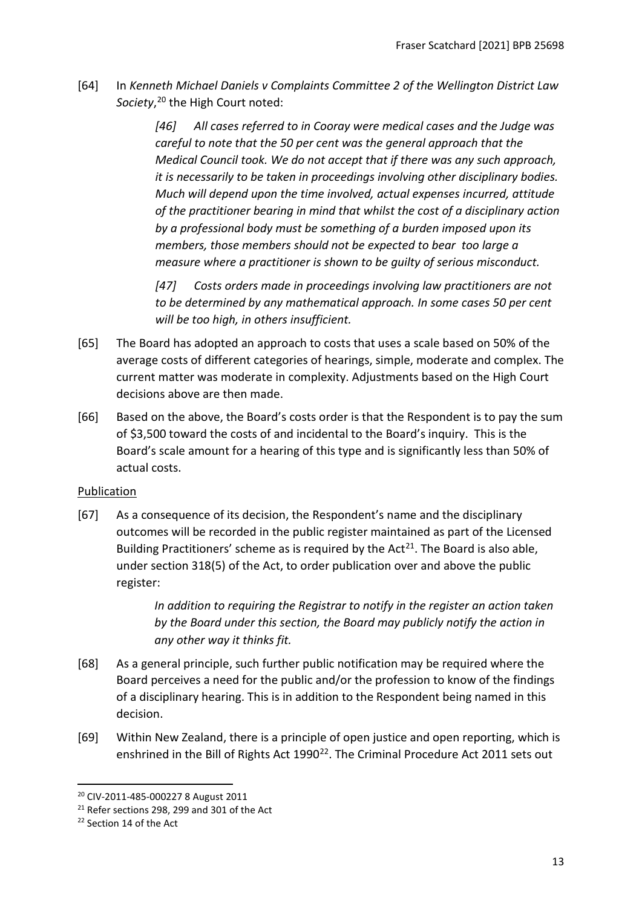[64] In *Kenneth Michael Daniels v Complaints Committee 2 of the Wellington District Law Society*, [20](#page-12-1) the High Court noted:

> *[46] All cases referred to in Cooray were medical cases and the Judge was careful to note that the 50 per cent was the general approach that the Medical Council took. We do not accept that if there was any such approach, it is necessarily to be taken in proceedings involving other disciplinary bodies. Much will depend upon the time involved, actual expenses incurred, attitude of the practitioner bearing in mind that whilst the cost of a disciplinary action by a professional body must be something of a burden imposed upon its members, those members should not be expected to bear too large a measure where a practitioner is shown to be guilty of serious misconduct.*

*[47] Costs orders made in proceedings involving law practitioners are not to be determined by any mathematical approach. In some cases 50 per cent will be too high, in others insufficient.*

- [65] The Board has adopted an approach to costs that uses a scale based on 50% of the average costs of different categories of hearings, simple, moderate and complex. The current matter was moderate in complexity. Adjustments based on the High Court decisions above are then made.
- [66] Based on the above, the Board's costs order is that the Respondent is to pay the sum of \$3,500 toward the costs of and incidental to the Board's inquiry. This is the Board's scale amount for a hearing of this type and is significantly less than 50% of actual costs.

# <span id="page-12-0"></span>Publication

[67] As a consequence of its decision, the Respondent's name and the disciplinary outcomes will be recorded in the public register maintained as part of the Licensed Building Practitioners' scheme as is required by the  $Act^{21}$  $Act^{21}$  $Act^{21}$ . The Board is also able, under section 318(5) of the Act, to order publication over and above the public register:

> *In addition to requiring the Registrar to notify in the register an action taken by the Board under this section, the Board may publicly notify the action in any other way it thinks fit.*

- [68] As a general principle, such further public notification may be required where the Board perceives a need for the public and/or the profession to know of the findings of a disciplinary hearing. This is in addition to the Respondent being named in this decision.
- [69] Within New Zealand, there is a principle of open justice and open reporting, which is enshrined in the Bill of Rights Act 1990<sup>22</sup>. The Criminal Procedure Act 2011 sets out

<span id="page-12-1"></span><sup>20</sup> CIV-2011-485-000227 8 August 2011

<span id="page-12-2"></span><sup>&</sup>lt;sup>21</sup> Refer sections 298, 299 and 301 of the Act

<span id="page-12-3"></span><sup>22</sup> Section 14 of the Act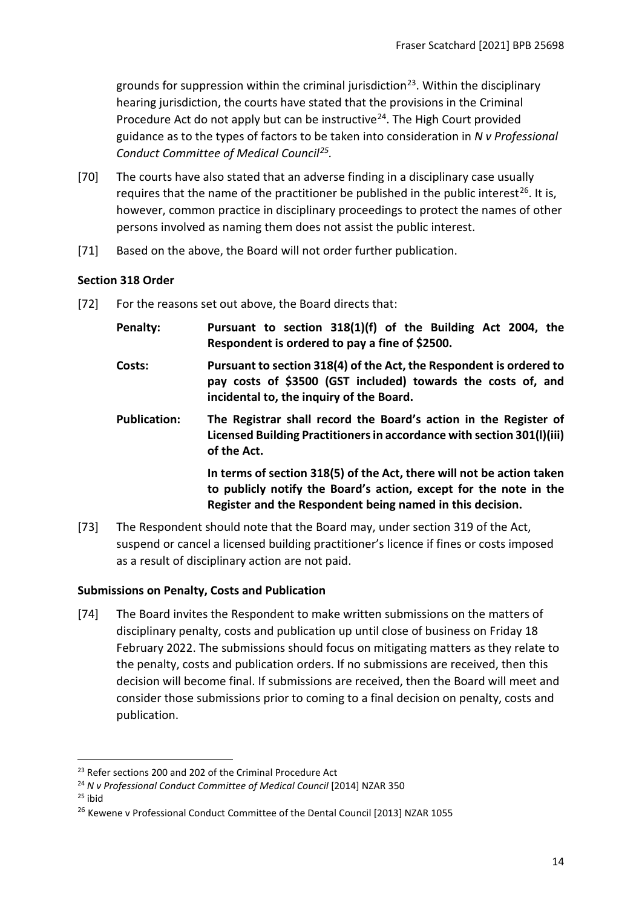grounds for suppression within the criminal jurisdiction<sup>23</sup>. Within the disciplinary hearing jurisdiction, the courts have stated that the provisions in the Criminal Procedure Act do not apply but can be instructive<sup>[24](#page-13-3)</sup>. The High Court provided guidance as to the types of factors to be taken into consideration in *N v Professional Conduct Committee of Medical Council[25](#page-13-4).* 

- [70] The courts have also stated that an adverse finding in a disciplinary case usually requires that the name of the practitioner be published in the public interest<sup>[26](#page-13-5)</sup>. It is, however, common practice in disciplinary proceedings to protect the names of other persons involved as naming them does not assist the public interest.
- [71] Based on the above, the Board will not order further publication.

## <span id="page-13-0"></span>**Section 318 Order**

- [72] For the reasons set out above, the Board directs that:
	- **Penalty: Pursuant to section 318(1)(f) of the Building Act 2004, the Respondent is ordered to pay a fine of \$2500.**
	- **Costs: Pursuant to section 318(4) of the Act, the Respondent is ordered to pay costs of \$3500 (GST included) towards the costs of, and incidental to, the inquiry of the Board.**
	- **Publication: The Registrar shall record the Board's action in the Register of Licensed Building Practitioners in accordance with section 301(l)(iii) of the Act.**

**In terms of section 318(5) of the Act, there will not be action taken to publicly notify the Board's action, except for the note in the Register and the Respondent being named in this decision.**

[73] The Respondent should note that the Board may, under section 319 of the Act, suspend or cancel a licensed building practitioner's licence if fines or costs imposed as a result of disciplinary action are not paid.

### <span id="page-13-1"></span>**Submissions on Penalty, Costs and Publication**

[74] The Board invites the Respondent to make written submissions on the matters of disciplinary penalty, costs and publication up until close of business on Friday 18 February 2022. The submissions should focus on mitigating matters as they relate to the penalty, costs and publication orders. If no submissions are received, then this decision will become final. If submissions are received, then the Board will meet and consider those submissions prior to coming to a final decision on penalty, costs and publication.

<span id="page-13-4"></span> $25$  ibid

<span id="page-13-3"></span><span id="page-13-2"></span><sup>&</sup>lt;sup>23</sup> Refer sections 200 and 202 of the Criminal Procedure Act<br><sup>24</sup> N v Professional Conduct Committee of Medical Council [2014] NZAR 350

<span id="page-13-5"></span><sup>&</sup>lt;sup>26</sup> Kewene v Professional Conduct Committee of the Dental Council [2013] NZAR 1055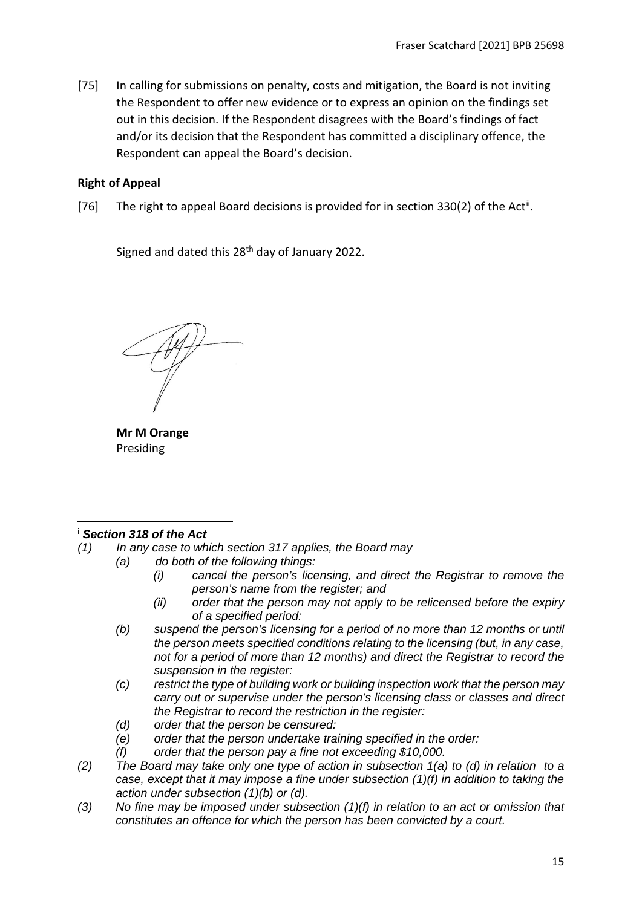[75] In calling for submissions on penalty, costs and mitigation, the Board is not inviting the Respondent to offer new evidence or to express an opinion on the findings set out in this decision. If the Respondent disagrees with the Board's findings of fact and/or its decision that the Respondent has committed a disciplinary offence, the Respondent can appeal the Board's decision.

## <span id="page-14-0"></span>**Right of Appeal**

[76] The right to appeal Board decisions is provided for in section 330(2) of the Act<sup>[ii](#page-15-0)</sup>.

Signed and dated this  $28<sup>th</sup>$  day of January 2022.

**Mr M Orange** Presiding

### <span id="page-14-1"></span><sup>i</sup> *Section 318 of the Act*

- *(1) In any case to which section 317 applies, the Board may*
	- *(a) do both of the following things:*
		- *(i) cancel the person's licensing, and direct the Registrar to remove the person's name from the register; and*
		- *(ii) order that the person may not apply to be relicensed before the expiry of a specified period:*
	- *(b) suspend the person's licensing for a period of no more than 12 months or until the person meets specified conditions relating to the licensing (but, in any case, not for a period of more than 12 months) and direct the Registrar to record the suspension in the register:*
	- *(c) restrict the type of building work or building inspection work that the person may carry out or supervise under the person's licensing class or classes and direct the Registrar to record the restriction in the register:*
	- *(d) order that the person be censured:*
	- *(e) order that the person undertake training specified in the order:*
	- *(f) order that the person pay a fine not exceeding \$10,000.*
- *(2) The Board may take only one type of action in subsection 1(a) to (d) in relation to a case, except that it may impose a fine under subsection (1)(f) in addition to taking the action under subsection (1)(b) or (d).*
- *(3) No fine may be imposed under subsection (1)(f) in relation to an act or omission that constitutes an offence for which the person has been convicted by a court.*